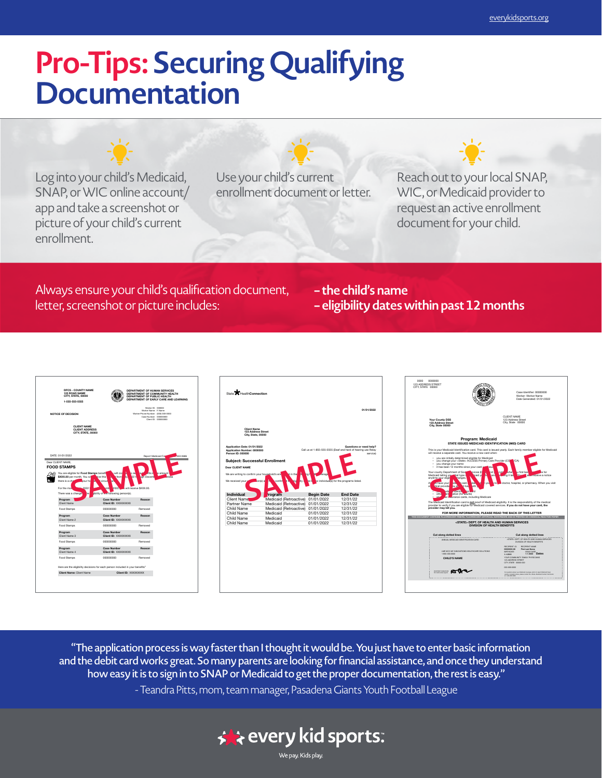## **Pro-Tips: Securing Qualifying Documentation**

Log into your child's Medicaid, SNAP, or WIC online account/ app and take a screenshot or picture of your child's current enrollment.

Use your child's current enrollment document or letter.

Reach out to your local SNAP, WIC, or Medicaid provider to request an active enrollment document for your child.

Always ensure your child's qualification document, letter, screenshot or picture includes:

**– the child's name – eligibility dates within past 12 months**

| <b>DFCS - COUNTY NAME</b><br>123 ROAD NAME<br>CITY, STATE, 00000<br>1.555.555.5555                                                                                                                 |                                                                                                                                    | DEPARTMENT OF HUMAN SERVICES<br>DEPARTMENT OF COMMUNITY HEALTH<br>DEPARTMENT OF PUBLIC HEALTH<br>DEPARTMENT OF EARLY CARE AND LEARNING |
|----------------------------------------------------------------------------------------------------------------------------------------------------------------------------------------------------|------------------------------------------------------------------------------------------------------------------------------------|----------------------------------------------------------------------------------------------------------------------------------------|
| <b>NOTICE OF DECISION</b>                                                                                                                                                                          | Worker ID: 000000<br>Worker Name: F. Name<br>Worker Phone Number: (000) 000-0000<br>Case Number: 000000000<br>Client ID: 000000000 |                                                                                                                                        |
| CLIENT NAME<br><b>CLIENT ADDRESS</b><br>CITY, STATE, 00000                                                                                                                                         |                                                                                                                                    |                                                                                                                                        |
| DATE: 01/01/2022                                                                                                                                                                                   |                                                                                                                                    | 533-0686<br>Report Medicald Fra                                                                                                        |
| Dear CLIENT NAME.<br><b>FOOD STAMPS</b><br>You are eligible for Food Stamps benefit<br>\$XXX.00 per month. You will<br>there is a cha<br>rour ha<br>2022<br>For the mor<br>There was a change<br>× | will con<br>ve this<br>from.<br>circuri<br>mb<br>2022<br>bility of the following person(s).                                        | e amount<br>uch Decemb<br>221<br>niess<br>will receive \$XXX.00.                                                                       |
| Program<br>Client Name                                                                                                                                                                             | <b>Case Number</b><br>Client ID: XXXXXXXXX                                                                                         | Reason                                                                                                                                 |
|                                                                                                                                                                                                    |                                                                                                                                    |                                                                                                                                        |
| Food Stamps                                                                                                                                                                                        | 000000000                                                                                                                          | Removed                                                                                                                                |
| Program<br>Client Name 2                                                                                                                                                                           | <b>Case Number</b><br>Client ID: XXXXXXXXX                                                                                         | Reason                                                                                                                                 |
| Food Stamps                                                                                                                                                                                        | nnnnnnnn                                                                                                                           | Removed                                                                                                                                |
| Program<br>Client Name 3                                                                                                                                                                           | <b>Case Number</b><br>Client ID: XXXXXXXX                                                                                          | Reason                                                                                                                                 |
| Food Stamps                                                                                                                                                                                        | conconco                                                                                                                           | Removed                                                                                                                                |
| Program<br>Client Name 4                                                                                                                                                                           | <b>Case Number</b><br>Client ID: XXXXXXXXX                                                                                         | Reason                                                                                                                                 |
| Food Stamps                                                                                                                                                                                        | 000000000                                                                                                                          | Removed                                                                                                                                |
| Here are the eligibility decisions for each person included in your benefits"                                                                                                                      |                                                                                                                                    |                                                                                                                                        |





"The application process is way faster than I thought it would be. You just have to enter basic information and the debit card works great. So many parents are looking for financial assistance, and once they understand how easy it is to sign in to SNAP or Medicaid to get the proper documentation, the rest is easy."

- Teandra Pitts, mom, team manager, Pasadena Giants Youth Football League